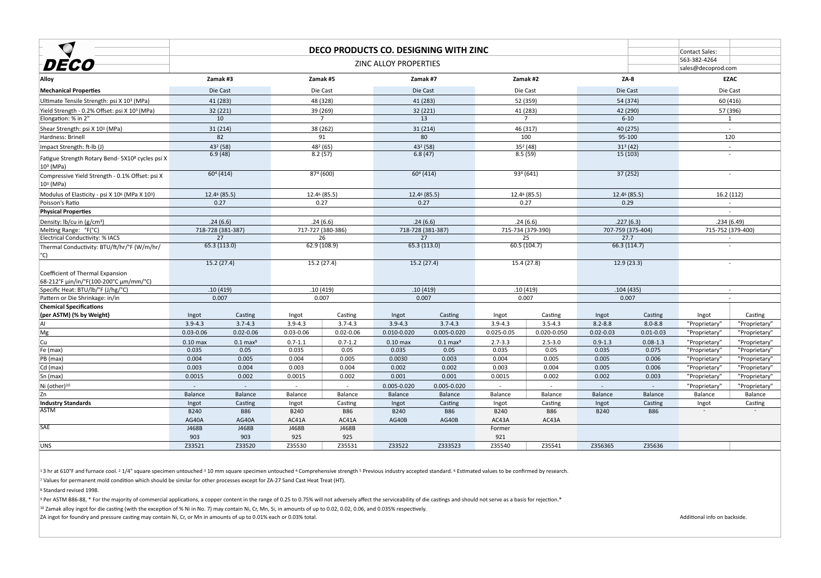|                                                                            | DECO PRODUCTS CO. DESIGNING WITH ZINC |                       |                |                      |                              |                       |                 | Contact Sales:        |               |                      |                    |                   |
|----------------------------------------------------------------------------|---------------------------------------|-----------------------|----------------|----------------------|------------------------------|-----------------------|-----------------|-----------------------|---------------|----------------------|--------------------|-------------------|
|                                                                            |                                       |                       |                |                      | <b>ZINC ALLOY PROPERTIES</b> |                       |                 |                       |               |                      | 563-382-4264       |                   |
| DECO                                                                       |                                       |                       |                |                      |                              |                       |                 |                       |               |                      | sales@decoprod.com |                   |
| Alloy                                                                      |                                       | Zamak #3              |                | Zamak #5             |                              | Zamak #7              |                 | Zamak #2              |               | $ZA-8$               |                    | <b>EZAC</b>       |
| <b>Mechanical Properties</b>                                               |                                       | Die Cast              |                | Die Cast             | Die Cast                     |                       | Die Cast        |                       |               | Die Cast             |                    | Die Cast          |
| Ultimate Tensile Strength: psi X 10 <sup>3</sup> (MPa)                     |                                       | 41 (283)              |                | 48 (328)             |                              | 41 (283)              |                 | 52 (359)              |               | 54 (374)             |                    | 60 (416)          |
| Yield Strength - 0.2% Offset: psi X 10 <sup>3</sup> (MPa)                  |                                       | 32 (221)              |                | 39 (269)             |                              | 32 (221)              |                 | 41 (283)              |               | 42 (290)             |                    | 57 (396)          |
| Elongation: % in 2"                                                        |                                       | 10                    |                | $\overline{7}$       |                              | 13                    |                 |                       |               | $6 - 10$             |                    |                   |
| Shear Strength: psi X 10 <sup>3</sup> (MPa)                                |                                       | 31(214)               |                | 38 (262)             |                              | 31(214)               |                 | 46 (317)              |               | 40 (275)             |                    |                   |
| Hardness: Brinell                                                          |                                       | 82                    |                | 91                   |                              | 80                    |                 | 100                   |               | 95-100               |                    | 120               |
| Impact Strength: ft-lb (J)                                                 |                                       | 432 (58)              |                | 48 <sup>2</sup> (65) |                              | 432 (58)              |                 | $352$ (48)            |               | 31 <sup>3</sup> (42) |                    |                   |
| Fatigue Strength Rotary Bend- 5X10 <sup>8</sup> cycles psi X<br> 10ª (MPa) |                                       | 6.9(48)               |                | 8.2(57)              |                              | 6.8(47)               |                 | 8.5(59)               |               | 15(103)              |                    | $\sim$            |
| Compressive Yield Strength - 0.1% Offset: psi X<br> 10ª (MPa)              |                                       | 60 <sup>4</sup> (414) |                | 874(600)             |                              | 60 <sup>4</sup> (414) |                 | 93 <sup>4</sup> (641) |               | 37(252)              |                    |                   |
| Modulus of Elasticity - psi X 10 <sup>6</sup> (MPa X 10 <sup>3</sup> )     |                                       | 12.46 (85.5)          |                | 12.46 (85.5)         |                              | 12.46 (85.5)          |                 | $12.46$ (85.5)        |               | $12.46$ (85.5)       |                    | 16.2(112)         |
| Poisson's Ratio                                                            |                                       | 0.27                  |                | 0.27                 |                              | 0.27                  |                 | 0.27                  |               | 0.29                 |                    |                   |
| <b>Physical Properties</b>                                                 |                                       |                       |                |                      |                              |                       |                 |                       |               |                      |                    |                   |
| Density: $lb/cu$ in (g/cm <sup>3</sup> )                                   |                                       | .24(6.6)              |                | .24(6.6)             |                              | .24(6.6)              |                 | .24(6.6)              |               | .227(6.3)            |                    | .234(6.49)        |
| Melting Range: °F(°C)                                                      |                                       | 718-728 (381-387)     |                | 717-727 (380-386)    |                              | 718-728 (381-387)     |                 | 715-734 (379-390)     |               | 707-759 (375-404)    |                    | 715-752 (379-400) |
| <b>Electrical Conductivity: % IACS</b>                                     |                                       | 27                    |                | 26                   |                              | 27                    |                 | 25                    |               | 27.7                 |                    |                   |
| Thermal Conductivity: BTU/ft/hr/°F (W/m/hr/<br>$^{\circ}$ C)               |                                       | 65.3 (113.0)          |                | 62.9 (108.9)         |                              | 65.3 (113.0)          |                 | 60.5 (104.7)          |               | 66.3 (114.7)         |                    |                   |
|                                                                            |                                       | 15.2(27.4)            |                | 15.2(27.4)           |                              | 15.2(27.4)            |                 | 15.4 (27.8)           |               | 12.9(23.3)           |                    |                   |
| Coefficient of Thermal Expansion<br>68-212°F μin/in/°F(100-200°C μm/mm/°C) |                                       |                       |                |                      |                              |                       |                 |                       |               |                      |                    |                   |
| Specific Heat: BTU/lb/°F (J/hg/°C)                                         |                                       | .10(419)              |                | .10(419)             |                              | .10(419)              |                 | .10(419)              |               | .104(435)            |                    |                   |
| Pattern or Die Shrinkage: in/in                                            |                                       | 0.007                 |                | 0.007                |                              | 0.007                 |                 | 0.007                 |               | 0.007                |                    |                   |
| <b>Chemical Specifications</b><br>(per ASTM) (% by Weight)                 | Ingot                                 | Casting               | Ingot          | Casting              | Ingot                        | Casting               | Ingot           | Casting               | Ingot         | Casting              | Ingot              | Casting           |
| A                                                                          | $3.9 - 4.3$                           | $3.7 - 4.3$           | $3.9 - 4.3$    | $3.7 - 4.3$          | $3.9 - 4.3$                  | $3.7 - 4.3$           | $3.9 - 4.3$     | $3.5 - 4.3$           | $8.2 - 8.8$   | $8.0 - 8.8$          | "Proprietary"      | "Proprietary"     |
| Mg                                                                         | $0.03 - 0.06$                         | $0.02 - 0.06$         | $0.03 - 0.06$  | $0.02 - 0.06$        | 0.010-0.020                  | 0.005-0.020           | $0.025 - 0.05$  | 0.020-0.050           | $0.02 - 0.03$ | $0.01 - 0.03$        | "Proprietary"      | "Proprietary"     |
| Cu                                                                         | $0.10$ max                            | $0.1$ max $9$         | $0.7 - 1.1$    | $0.7 - 1.2$          | $0.10$ max                   | $0.1$ max $9$         | $2.7 - 3.3$     | $2.5 - 3.0$           | $0.9 - 1.3$   | $0.08 - 1.3$         | "Proprietary"      | "Proprietary"     |
| Fe (max)                                                                   | 0.035                                 | 0.05                  | 0.035          | 0.05                 | 0.035                        | 0.05                  | 0.035           | 0.05                  | 0.035         | 0.075                | "Proprietary"      | "Proprietary"     |
| $ PB$ (max)                                                                | 0.004                                 | 0.005                 | 0.004          | 0.005                | 0.0030                       | 0.003                 | 0.004           | 0.005                 | 0.005         | 0.006                | "Proprietary"      | "Proprietary"     |
| $ Cd$ (max)                                                                | 0.003                                 | 0.004                 | 0.003          | 0.004                | 0.002                        | 0.002                 | 0.003           | 0.004                 | 0.005         | 0.006                | "Proprietary"      | "Proprietary"     |
| $\mathsf{Sn} \mathsf{(max)}$                                               | 0.0015                                | 0.002                 | 0.0015         | 0.002                | 0.001                        | 0.001                 | 0.0015          | 0.002                 | 0.002         | 0.003                | "Proprietary"      | "Proprietary"     |
| Ni (other)10                                                               |                                       | $\sim$ .              | $\sim$         | $\sim$               | 0.005-0.020                  | 0.005-0.020           |                 |                       | $\sim$        |                      | "Proprietary"      | "Proprietary"     |
| Zn                                                                         | <b>Balance</b>                        | Balance               | Balance        | Balance              | Balance                      | Balance               | Balance         | Balance               | Balance       | Balance              | Balance            | Balance           |
| Industry Standards<br>ASTM                                                 | Ingot                                 | Casting               | Ingot          | Casting              | Ingot                        | Casting               | Ingot           | Casting               | Ingot         | Casting              | Ingot              | Casting           |
|                                                                            | <b>B240</b>                           | <b>B86</b>            | <b>B240</b>    | <b>B86</b>           | <b>B240</b>                  | <b>B86</b>            | <b>B240</b>     | <b>B86</b>            | <b>B240</b>   | <b>B86</b>           | $\sim$             | $\sim$            |
| <b>SAE</b>                                                                 | AG40A<br>J468B                        | AG40A<br>J468B        | AC41A<br>J468B | AC41A<br>J468B       | AG40B                        | AG40B                 | AC43A<br>Former | AC43A                 |               |                      |                    |                   |
|                                                                            | 903                                   | 903                   | 925            | 925                  |                              |                       | 921             |                       |               |                      |                    |                   |
| UNS                                                                        | Z33521                                | Z33520                | Z35530         | Z35531               | Z33522                       | Z333523               | Z35540          | Z35541                | Z356365       | Z35636               |                    |                   |
|                                                                            |                                       |                       |                |                      |                              |                       |                 |                       |               |                      |                    |                   |

 $13$  hr at 610°F and furnace cool. <sup>2</sup> 1/4" square specimen untouched <sup>3</sup> 10 mm square specimen untouched <sup>4</sup> Comprehensive strength <sup>5</sup> Previous industry accepted standard. <sup>6</sup> Estimated values to be confirmed by researc  $\vert$ <sup>7</sup> Values for permanent mold condition which should be similar for other processes except for ZA-27 Sand Cast Heat Treat (HT).

<sup>8</sup> Standard revised 1998.

 $\frac{1}{9}$  Per ASTM B86-88, \* For the majority of commercial applications, a copper content in the range of 0.25 to 0.75% will not adversely affect the serviceability of die castings and should not serve as a basis for rej  $10$  Zamak alloy ingot for die casting (with the exception of % Ni in No. 7) may contain Ni, Cr, Mn, Si, in amounts of up to 0.02, 0.02, 0.06, and 0.035% respectively. |ZA ingot for foundry and pressure casting may contain Ni, Cr, or Mn in amounts of up to 0.01% each or 0.03% total. And Additional info on backside.